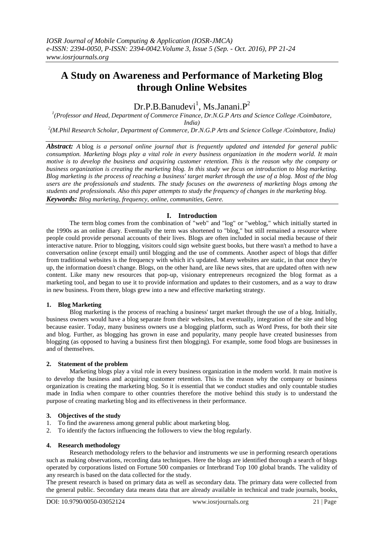# **A Study on Awareness and Performance of Marketing Blog through Online Websites**

# $Dr.P.B.Banudevi<sup>1</sup>, Ms.Janani.P<sup>2</sup>$

<sup>1</sup>(Professor and Head, Department of Commerce Finance, Dr.N.G.P Arts and Science College /Coimbatore, *India)*

*2 (M.Phil Research Scholar, Department of Commerce, Dr.N.G.P Arts and Science College /Coimbatore, India)*

*Abstract: A* blog *is a personal online journal that is frequently updated and intended for general public consumption. Marketing blogs play a vital role in every business organization in the modern world. It main motive is to develop the business and acquiring customer retention. This is the reason why the company or business organization is creating the marketing blog. In this study we focus on introduction to blog marketing. Blog marketing is the process of reaching a business' target market through the use of a blog. Most of the blog users are the professionals and students. The study focuses on the awareness of marketing blogs among the students and professionals. Also this paper attempts to study the frequency of changes in the marketing blog. Keywords: Blog marketing, frequency, online, communities, Genre.*

# **I. Introduction**

The term [blog](http://homebusiness.about.com/od/homebusinessglossar1/g/blog_defined.htm) comes from the combination of "web" and "log" or "weblog," which initially started in the 1990s as an online diary. Eventually the term was shortened to "blog," but still remained a resource where people could provide personal accounts of their lives. Blogs are often included in social media because of their interactive nature. Prior to blogging, visitors could sign website guest books, but there wasn't a method to have a conversation online (except email) until blogging and the use of comments. Another aspect of blogs that differ from traditional websites is the frequency with which it's updated. Many websites are static, in that once they're up, the information doesn't change. Blogs, on the other hand, are like news sites, that are updated often with new content. Like many new resources that pop-up, visionary entrepreneurs recognized the blog format as a marketing tool, and began to use it to provide information and updates to their customers, and as a way to draw in new business. From there, blogs grew into a new and effective marketing strategy.

# **1. Blog Marketing**

Blog marketing is the process of reaching a business' target market through the use of a blog. Initially, business owners would have a blog separate from their websites, but eventually, integration of the site and blog because easier. Today, many business owners use a blogging platform, such as Word Press, for both their site and blog. Further, as blogging has grown in ease and popularity, many people have created businesses from blogging (as opposed to having a business first then blogging). For example, some [food blogs](http://homebusiness.about.com/od/BakingCooking-Ideas/fl/How-to-Start-and-Profit-from-a-Food-Blog.htm) are businesses in and of themselves.

#### **2. Statement of the problem**

Marketing blogs play a vital role in every business organization in the modern world. It main motive is to develop the business and acquiring customer retention. This is the reason why the company or business organization is creating the marketing blog. So it is essential that we conduct studies and only countable studies made in India when compare to other countries therefore the motive behind this study is to understand the purpose of creating marketing blog and its effectiveness in their performance.

# **3. Objectives of the study**<br>1. To find the awareness and

- 1. To find the awareness among general public about marketing blog.
- 2. To identify the factors influencing the followers to view the blog regularly.

# **4. Research methodology**

Research methodology refers to the behavior and instruments we use in performing research operations such as making observations, recording data techniques. Here the blogs are identified thorough a search of blogs operated by corporations listed on Fortune 500 companies or Interbrand Top 100 global brands. The validity of any research is based on the data collected for the study.

The present research is based on primary data as well as secondary data. The primary data were collected from the general public. Secondary data means data that are already available in technical and trade journals, books,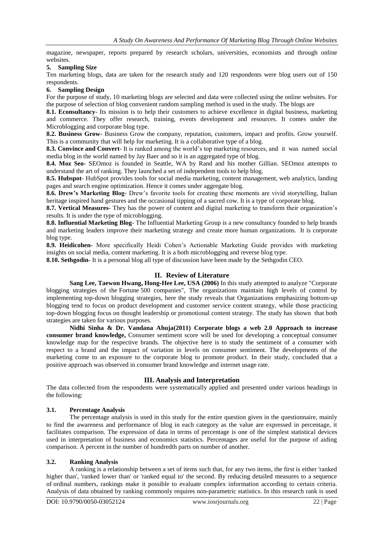magazine, newspaper, reports prepared by research scholars, universities, economists and through online websites.

#### **5. Sampling Size**

Ten marketing blogs, data are taken for the research study and 120 respondents were blog users out of 150 respondents.

#### **6. Sampling Design**

For the purpose of study, 10 marketing blogs are selected and data were collected using the online websites. For the purpose of selection of blog convenient random sampling method is used in the study. The blogs are

**8.1. Econsultancy**- Its mission is to help their customers to achieve excellence in digital business, marketing and commerce. They offer research, training, events development and resources. It comes under the Microblogging and corporate blog type.

**8.2. Business Grow**- Business Grow the company, reputation, customers, impact and profits. Grow yourself. This is a community that will help for marketing. It is a collaborative type of a blog.

**8.3. Convince and Convert**- It is ranked among the world's top marketing resources, and it was named social media blog in the world named by Jay Baer and so it is an aggregated type of blog.

**8.4. Moz Seo**- SEOmoz is founded in Seattle, WA by Rand and his mother Gillian. SEOmoz attempts to understand the art of ranking. They launched a set of independent tools to help blog.

**8.5. Hubspot**- HubSpot provides tools for [social media marketing,](https://en.wikipedia.org/wiki/Social_media_marketing) [content management,](https://en.wikipedia.org/wiki/Content_management) [web analytics,](https://en.wikipedia.org/wiki/Web_analytics) [landing](https://en.wikipedia.org/wiki/Landing_pages)  [pages](https://en.wikipedia.org/wiki/Landing_pages) and [search engine optimization.](https://en.wikipedia.org/wiki/Search_engine_optimization) Hence it comes under aggregate blog.

**8.6. Drew's Marketing Blog**- Drew's favorite tools for creating these moments are vivid storytelling, Italian heritage inspired hand gestures and the occasional tipping of a sacred cow. It is a type of corporate blog.

**8.7. Vertical Measures**- They has the power of content and digital marketing to transform their organization's results. It is under the type of microblogging.

**8.8. Influential Marketing Blog**- The Influential Marketing Group is a new consultancy founded to help brands and marketing leaders improve their marketing strategy and create more human organizations. It is corporate blog type.

**8.9. Heidicohen**- More specifically Heidi Cohen's Actionable Marketing Guide provides with marketing insights on social media, content marketing. It is a both microblogging and reverse blog type.

**8.10. Sethgodin**- It is a personal blog all type of discussion have been made by the Sethgodin CEO.

# **II. Review of Literature**

**[Sang Lee,](http://www.emeraldinsight.com/author/Lee%2C+Sang) [Taewon Hwang,](http://www.emeraldinsight.com/author/Hwang%2C+Taewon) Hong**‐**[Hee Lee,](http://www.emeraldinsight.com/author/Lee%2C+Hong-Hee) USA (2006)** In this study attempted to analyze "Corporate blogging strategies of the Fortune 500 companies", The organizations maintain high levels of control by implementing top-down blogging strategies, here the study reveals that Organizations emphasizing bottom-up blogging tend to focus on product development and customer service content strategy, while those practicing top‐down blogging focus on thought leadership or promotional content strategy. The study has shown that both strategies are taken for various purposes.

**Nidhi Sinha & Dr. Vandana Ahuja(2011) Corporate blogs a web 2.0 Approach to increase consumer brand knowledge,** Consumer sentiment score will be used for developing a conceptual consumer knowledge map for the respective brands. The objective here is to study the sentiment of a consumer with respect to a brand and the impact of variation in levels on consumer sentiment. The developments of the marketing come to an exposure to the corporate blog to promote product. In their study, concluded that a positive approach was observed in consumer brand knowledge and internet usage rate.

# **III. Analysis and Interpretation**

The data collected from the respondents were systematically applied and presented under various headings in the following:

# **3.1. Percentage Analysis**

The percentage analysis is used in this study for the entire question given in the questionnaire, mainly to find the awareness and performance of blog in each category as the value are expressed in percentage, it facilitates comparison. The expression of data in terms of percentage is one of the simplest statistical devices used in interpretation of business and economics statistics. Percentages are useful for the purpose of aiding comparison. A percent in the number of hundredth parts on number of another.

# **3.2. Ranking Analysis**

A ranking is a relationship between a set of items such that, for any two items, the first is either 'ranked higher than', 'ranked lower than' or 'ranked equal to' the second. By reducing detailed measures to a sequence of [ordinal numbers,](https://en.wikipedia.org/wiki/Ordinal_numbers) rankings make it possible to evaluate complex information according to certain criteria. Analysis of data obtained by ranking commonly requires [non-parametric statistics.](https://en.wikipedia.org/wiki/Non-parametric_statistics) In this research rank is used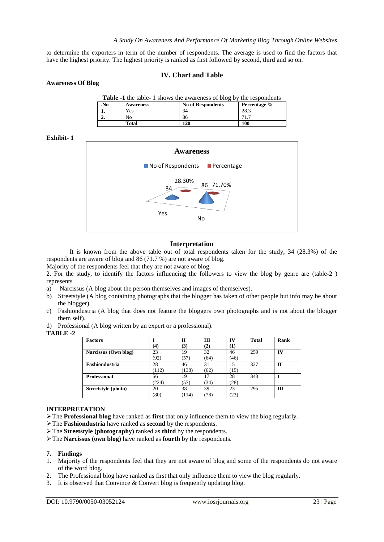to determine the exporters in term of the number of respondents. The average is used to find the factors that have the highest priority. The highest priority is ranked as first followed by second, third and so on.

# **IV. Chart and Table**

| <b>Table -1</b> the table-1 shows the awareness of blog by the respondents |                  |                          |              |  |  |  |  |
|----------------------------------------------------------------------------|------------------|--------------------------|--------------|--|--|--|--|
| .No                                                                        | <b>Awareness</b> | <b>No of Respondents</b> | Percentage % |  |  |  |  |
|                                                                            | Yes              | 34                       | 28.3         |  |  |  |  |
| <u>.</u>                                                                   | Nο               | 86                       | 71.7         |  |  |  |  |
|                                                                            | Total            | 120                      | 100          |  |  |  |  |

#### **Exhibit- 1**

**Awareness Of Blog**



#### **Interpretation**

It is known from the above table out of total respondents taken for the study, 34 (28.3%) of the respondents are aware of blog and 86 (71.7 %) are not aware of blog.

Majority of the respondents feel that they are not aware of blog.

2. For the study, to identify the factors influencing the followers to view the blog by genre are (table-2 ) represents

- a) Narcissus (A blog about the person themselves and images of themselves).
- b) Streetstyle (A blog containing photographs that the blogger has taken of other people but info may be about the blogger).
- c) Fashiondustria (A blog that does not feature the bloggers own photographs and is not about the blogger them self).
- d) Professional (A blog written by an expert or a professional).

#### **TABLE -2**

| <b>Factors</b>        |          | $\mathbf{H}$ | Ш    | IV        | <b>Total</b> | Rank         |
|-----------------------|----------|--------------|------|-----------|--------------|--------------|
|                       | $\bf(4)$ | (3)          | (2)  | <b>T)</b> |              |              |
| Narcissus (Own blog)  | 23       | 19           | 32   | 46        | 259          | IV           |
|                       | 92)      | 57           | (64) | (46)      |              |              |
| <b>Fashiondustria</b> | 28       | 46           | 31   | 15        | 327          | $\mathbf{H}$ |
|                       | (112)    | (138)        | (62) | (15)      |              |              |
| <b>Professional</b>   | 56       | 19           | 17   | 28        | 343          |              |
|                       | (224)    | (57)         | (34) | (28)      |              |              |
| Streetstyle (photo)   | 20       | 38           | 39   | 23        | 295          | III          |
|                       | (80)     | (114)        | (78) | (23)      |              |              |

#### **INTERPRETATION**

The **Professional blog** have ranked as **first** that only influence them to view the blog regularly.

- The **Fashiondustria** have ranked as **second** by the respondents.
- The **Streetstyle (photography)** ranked as **third** by the respondents.
- The **Narcissus (own blog)** have ranked as **fourth** by the respondents.

### **7. Findings**

- 1. Majority of the respondents feel that they are not aware of blog and some of the respondents do not aware of the word blog.
- 2. The Professional blog have ranked as first that only influence them to view the blog regularly.
- 3. It is observed that Convince & Convert blog is frequently updating blog.